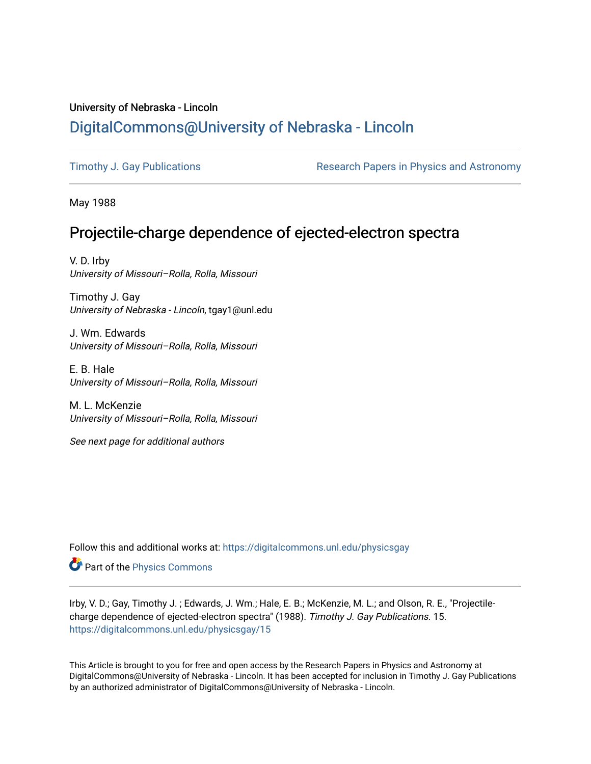## University of Nebraska - Lincoln [DigitalCommons@University of Nebraska - Lincoln](https://digitalcommons.unl.edu/)

[Timothy J. Gay Publications](https://digitalcommons.unl.edu/physicsgay) **Research Papers in Physics and Astronomy** 

May 1988

# Projectile-charge dependence of ejected-electron spectra

V. D. Irby University of Missouri–Rolla, Rolla, Missouri

Timothy J. Gay University of Nebraska - Lincoln, tgay1@unl.edu

J. Wm. Edwards University of Missouri–Rolla, Rolla, Missouri

E. B. Hale University of Missouri–Rolla, Rolla, Missouri

M. L. McKenzie University of Missouri–Rolla, Rolla, Missouri

See next page for additional authors

Follow this and additional works at: [https://digitalcommons.unl.edu/physicsgay](https://digitalcommons.unl.edu/physicsgay?utm_source=digitalcommons.unl.edu%2Fphysicsgay%2F15&utm_medium=PDF&utm_campaign=PDFCoverPages)

Part of the [Physics Commons](http://network.bepress.com/hgg/discipline/193?utm_source=digitalcommons.unl.edu%2Fphysicsgay%2F15&utm_medium=PDF&utm_campaign=PDFCoverPages)

Irby, V. D.; Gay, Timothy J. ; Edwards, J. Wm.; Hale, E. B.; McKenzie, M. L.; and Olson, R. E., "Projectilecharge dependence of ejected-electron spectra" (1988). Timothy J. Gay Publications. 15. [https://digitalcommons.unl.edu/physicsgay/15](https://digitalcommons.unl.edu/physicsgay/15?utm_source=digitalcommons.unl.edu%2Fphysicsgay%2F15&utm_medium=PDF&utm_campaign=PDFCoverPages) 

This Article is brought to you for free and open access by the Research Papers in Physics and Astronomy at DigitalCommons@University of Nebraska - Lincoln. It has been accepted for inclusion in Timothy J. Gay Publications by an authorized administrator of DigitalCommons@University of Nebraska - Lincoln.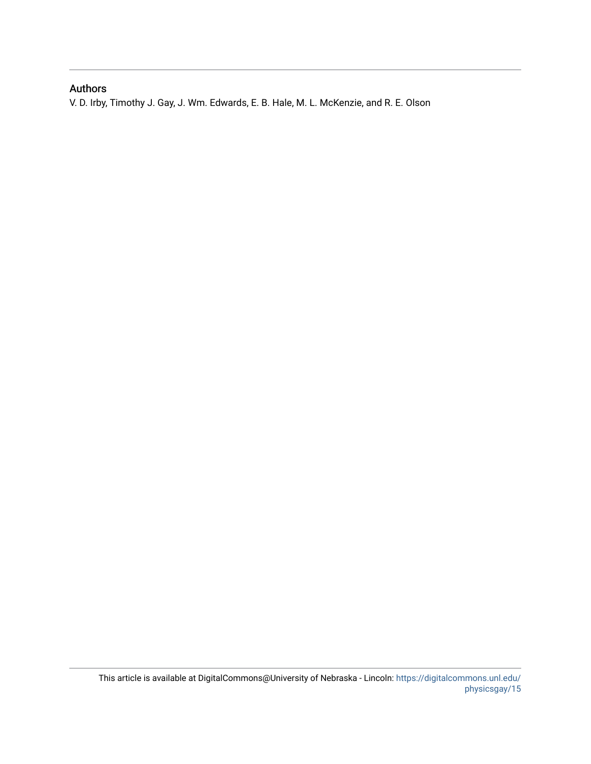### Authors

V. D. Irby, Timothy J. Gay, J. Wm. Edwards, E. B. Hale, M. L. McKenzie, and R. E. Olson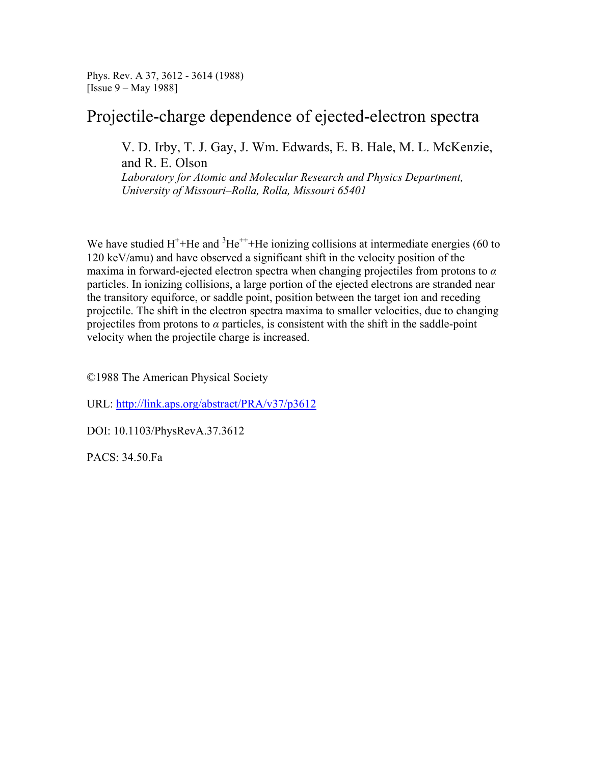Phys. Rev. A 37, 3612 - 3614 (1988) [Issue 9 – May 1988]

## Projectile-charge dependence of ejected-electron spectra

V. D. Irby, T. J. Gay, J. Wm. Edwards, E. B. Hale, M. L. McKenzie, and R. E. Olson

*Laboratory for Atomic and Molecular Research and Physics Department, University of Missouri–Rolla, Rolla, Missouri 65401*

We have studied  $H^+$ +He and  ${}^{3}He^{++}$ +He ionizing collisions at intermediate energies (60 to 120 keV/amu) and have observed a significant shift in the velocity position of the maxima in forward-ejected electron spectra when changing projectiles from protons to *α* particles. In ionizing collisions, a large portion of the ejected electrons are stranded near the transitory equiforce, or saddle point, position between the target ion and receding projectile. The shift in the electron spectra maxima to smaller velocities, due to changing projectiles from protons to  $\alpha$  particles, is consistent with the shift in the saddle-point velocity when the projectile charge is increased.

©1988 The American Physical Society

URL: http://link.aps.org/abstract/PRA/v37/p3612

DOI: 10.1103/PhysRevA.37.3612

PACS: 34.50.Fa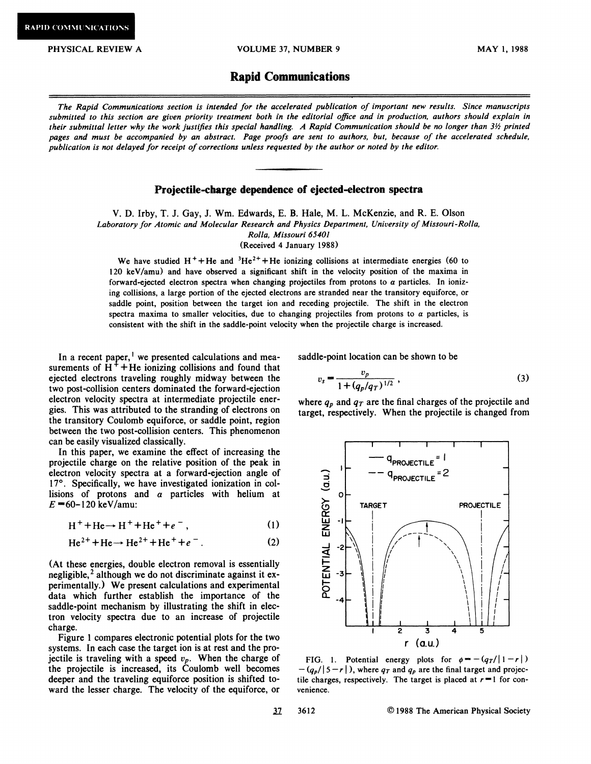MAY 1, *1988* 

#### **Rapid Communications**

*The Rapid Communications section is intended for the accelerated publication of important new results. Since manuscripts submitted to this section are given priority treatment both in the editorial ofice and in production, authors should explain in their submittal letter why the work justifies this special handling. A Rapid Communication should be no longer than 3% printed pages and must be accompanied by an abstract. Page proofs are sent to authors, but, because of the accelerated schedule. publication is not delayed for receipt of corrections unless requested by the author or noted by the editor.* 

#### **Projectile-charge dependence of ejected-electron spectra**

V. D. Irby, T. J. Gay, J. Wm. Edwards, E. B. Hale, M. L. McKenzie, and R. E. Olson *Laboratory for Atomic and Molecular Research and Physics Department, University of Missouri-Rolla, Rolla, Missouri 65401*  (Received *4* January *1988)* 

We have studied  $H^+$ +He and  ${}^{3}He^{2+}$ +He ionizing collisions at intermediate energies (60 to 120 keV/amu) and have observed a significant shift in the velocity position of the maxima in forward-ejected electron spectra when changing projectiles from protons to a particles. In ionizing collisions, a large portion of the ejected electrons are stranded near the transitory equiforce, or saddle point, position between the target ion and receding projectile. The shift in the electron spectra maxima to smaller velocities, due to changing projectiles from protons to  $\alpha$  particles, is consistent with the shift in the saddle-point velocity when the projectile charge is increased.

In a recent paper,<sup>1</sup> we presented calculations and measurements of  $H^+$  +He ionizing collisions and found that ejected electrons traveling roughly midway between the two post-collision centers dominated the forward-ejection electron velocity spectra at intermediate projectile energies. This was attributed to the stranding of electrons on the transitory Coulomb equiforce, or saddle point, region between the two post-collision centers. This phenomenon can be easily visualized classically.

In this paper, we examine the effect of increasing the projectile charge on the relative position of the peak in electron velocity spectra at a forward-ejection angle of 17°. Specifically, we have investigated ionization in collisions of protons and  $\alpha$  particles with helium at  $E = 60 - 120$  keV/amu:

$$
H^+ + He \rightarrow H^+ + He^+ + e^- \,, \tag{1}
$$

$$
He2+ + He \rightarrow He2+ + He+ + e-.
$$
 (2)

(At these energies, double electron removal is essentially negligible, $<sup>2</sup>$  although we do not discriminate against it ex-</sup> perimentally.) We present calculations and experimental data which further establish the importance of the saddle-point mechanism by illustrating the shift in electron velocity spectra due to an increase of projectile charge.

Figure I compares electronic potential plots for the two systems. In each case the target ion is at rest and the projectile is traveling with a speed  $v_p$ . When the charge of the projectile is increased, its Coulomb well becomes deeper and the traveling equiforce position is shifted toward the lesser charge. The velocity of the equiforce, or venience.

saddle-point location can be shown to be

$$
v_s = \frac{v_p}{1 + (q_n/q_T)^{1/2}},\tag{3}
$$

where  $q_p$  and  $q_T$  are the final charges of the projectile and target, respectively. When the projectile is changed from



FIG. 1. Potential energy plots for  $\phi = -\frac{q_T}{|1 - r|}$ <br>- $\frac{q_\rho}{|5 - r|}$ , where  $q_T$  and  $q_\rho$  are the final target and projectile charges, respectively. The target is placed at  $r=1$  for con-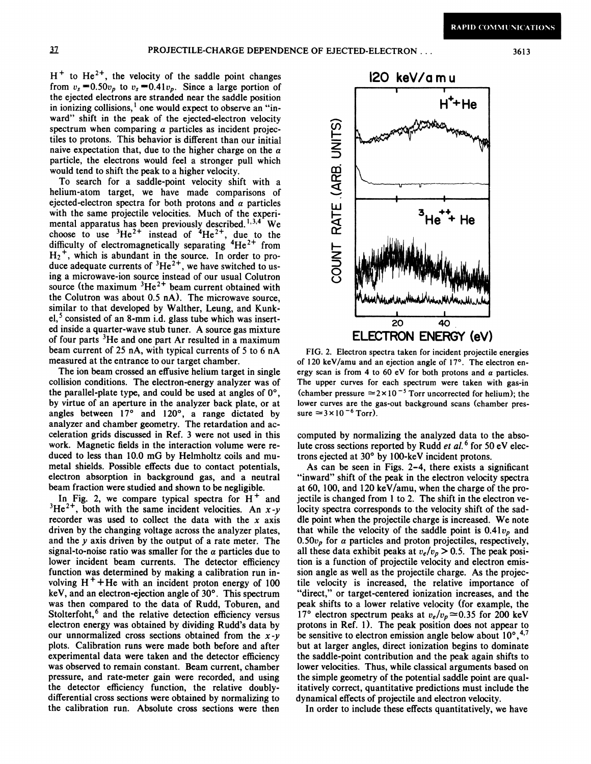$H^+$  to He<sup>2+</sup>, the velocity of the saddle point changes from  $v_s = 0.50v_p$  to  $v_s = 0.41v_p$ . Since a large portion of the ejected electrons are stranded near the saddle position in ionizing collisions,<sup>1</sup> one would expect to observe an "inward" shift in the peak of the ejected-electron velocity spectrum when comparing  $\alpha$  particles as incident projectiles to protons. This behavior is different than our initial naive expectation that, due to the higher charge on the  $\alpha$ particle, the electrons would feel a stronger pull which would tend to shift the peak to a higher velocity.

To search for a saddle-point velocity shift with a helium-atom target, we have made comparisons of ejected-electron spectra for both protons and  $\alpha$  particles with the same projectile velocities. Much of the experimental apparatus has been previously described.<sup>1,3,4</sup> We choose to use  ${}^{3}He^{2+}$  instead of  ${}^{4}He^{2+}$ , due to the difficulty of electromagnetically separating  $4He^{2+}$  from  $H_2$ <sup>+</sup>, which is abundant in the source. In order to produce adequate currents of  ${}^{3}He^{2+}$ , we have switched to using a microwave-ion source instead of our usual Colutron source (the maximum  ${}^{3}He^{2+}$  beam current obtained with the Colutron was about 0.5 nA). The microwave source, similar to that developed by Walther, Leung, and Kunk $el<sub>1</sub>$ <sup>5</sup> consisted of an 8-mm i.d. glass tube which was inserted inside a quarter-wave stub tuner. A source gas mixture of four parts <sup>3</sup>He and one part Ar resulted in a maximum beam current of 25 nA, with typical currents of 5 to 6 nA measured at the entrance to our target chamber.

The ion beam crossed an effusive helium target in single collision conditions. The electron-energy analyzer was of the parallel-plate type, and could be used at angles of 0°, by virtue of an aperture in the analyzer back plate, or at angles between 17° and 120°, a range dictated by analyzer and chamber geometry. The retardation and acceleration grids discussed in Ref. 3 were not used in this work. Magnetic fields in the interaction volume were reduced to less than 10.0 mG by Helmholtz coils and mumetal shields. Possible effects due to contact potentials, electron absorption in background gas, and a neutral beam fraction were studied and shown to be negligible.

In Fig. 2, we compare typical spectra for  $H^+$  and  $3He^{2+}$ , both with the same incident velocities. An  $x-y$ recorder was used to collect the data with the **x** axis driven by the changing voltage across the analyzer plates, and the y axis driven by the output of a rate meter. The signal-to-noise ratio was smaller for the  $\alpha$  particles due to lower incident beam currents. The detector efficiency function was determined by making a calibration run involving  $H^+$ +He with an incident proton energy of 100 keV, and an electron-ejection angle of 30°. This spectrum was then compared to the data of Rudd, Toburen, and Stolterfoht,<sup>6</sup> and the relative detection efficiency versus electron energy was obtained by dividing Rudd's data by our unnormalized cross sections obtained from the **x-y**  plots. Calibration runs were made both before and after experimental data were taken and the detector efficiency was observed to remain constant. Beam current, chamber pressure, and rate-meter gain were recorded, and using the detector efficiency function, the relative doublydifferential cross sections were obtained by normalizing to the calibration run. Absolute cross sections were then



**FIG.** 2. Electron spectra taken for incident projectile energies of 120 keV/amu and an ejection angle of 17°. The electron energy scan is from 4 to 60 eV for both protons and  $\alpha$  particles. The upper curves for each spectrum were taken with gas-in (chamber pressure  $\approx$  2× 10<sup>-5</sup> Torr uncorrected for helium); the lower curves are the gas-out background scans (chamber pres $sure \approx 3 \times 10^{-6}$  Torr).

computed by normalizing the analyzed data to the absolute cross sections reported by Rudd *et al.* <sup>6</sup> for 50 eV electrons ejected at 30" by 100-keV incident protons.

As can be seen in Figs. 2-4, there exists a significant "inward" shift of the peak in the electron velocity spectra at 60, 100, and 120 keV/amu, when the charge of the projectile is changed from 1 to 2. The shift in the electron velocity spectra corresponds to the velocity shift of the saddle point when the projectile charge is increased. We note that while the velocity of the saddle point is  $0.41v_p$  and 0.50 $v_p$  for  $\alpha$  particles and proton projectiles, respectively, all these data exhibit peaks at  $v_e/v_p > 0.5$ . The peak position is a function of projectile velocity and electron emission angle as well as the projectile charge. As the projectile velocity is increased, the relative importance of "direct," or target-centered ionization increases, and the peak shifts to a lower relative velocity (for example, the 17° electron spectrum peaks at  $v_e/v_p \approx 0.35$  for 200 keV protons in Ref. **1).** The peak position does not appear to be sensitive to electron emission angle below about  $10^{\circ}, ^{4,7}$ but at larger angles, direct ionization begins to dominate the saddle-point contribution and the peak again shifts to lower velocities. Thus, while classical arguments based on the simple geometry of the potential saddle point are qualitatively correct, quantitative predictions must include the dynamical effects of projectile and electron velocity.

In order to include these effects quantitatively, we have